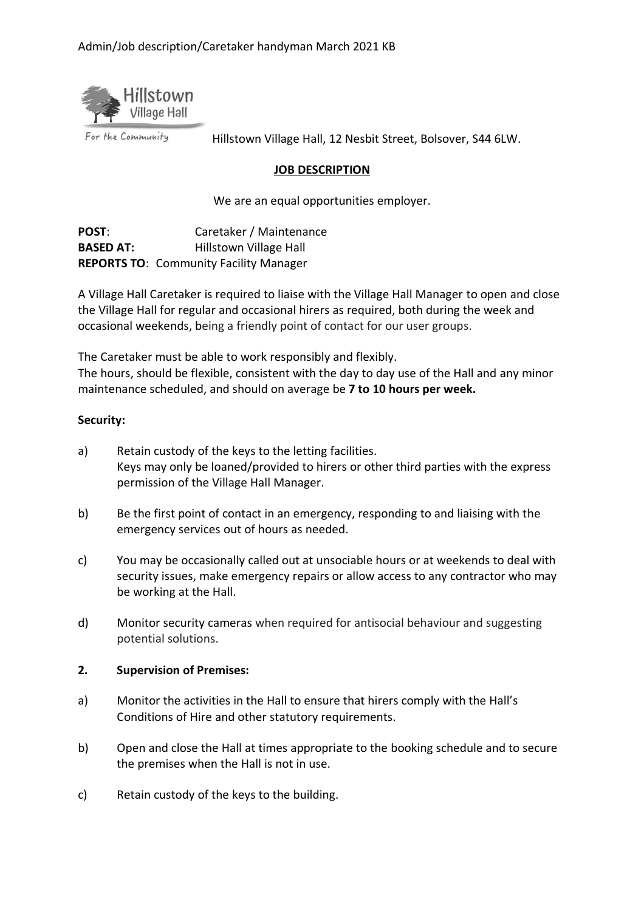

For the Community

Hillstown Village Hall, 12 Nesbit Street, Bolsover, S44 6LW.

#### **JOB DESCRIPTION**

We are an equal opportunities employer.

POST: Caretaker / Maintenance **BASED AT:** Hillstown Village Hall **REPORTS TO**: Community Facility Manager

A Village Hall Caretaker is required to liaise with the Village Hall Manager to open and close the Village Hall for regular and occasional hirers as required, both during the week and occasional weekends, being a friendly point of contact for our user groups.

The Caretaker must be able to work responsibly and flexibly.

The hours, should be flexible, consistent with the day to day use of the Hall and any minor maintenance scheduled, and should on average be **7 to 10 hours per week.**

### **Security:**

- a) Retain custody of the keys to the letting facilities. Keys may only be loaned/provided to hirers or other third parties with the express permission of the Village Hall Manager.
- b) Be the first point of contact in an emergency, responding to and liaising with the emergency services out of hours as needed.
- c) You may be occasionally called out at unsociable hours or at weekends to deal with security issues, make emergency repairs or allow access to any contractor who may be working at the Hall.
- d) Monitor security cameras when required for antisocial behaviour and suggesting potential solutions.

# **2. Supervision of Premises:**

- a) Monitor the activities in the Hall to ensure that hirers comply with the Hall's Conditions of Hire and other statutory requirements.
- b) Open and close the Hall at times appropriate to the booking schedule and to secure the premises when the Hall is not in use.
- c) Retain custody of the keys to the building.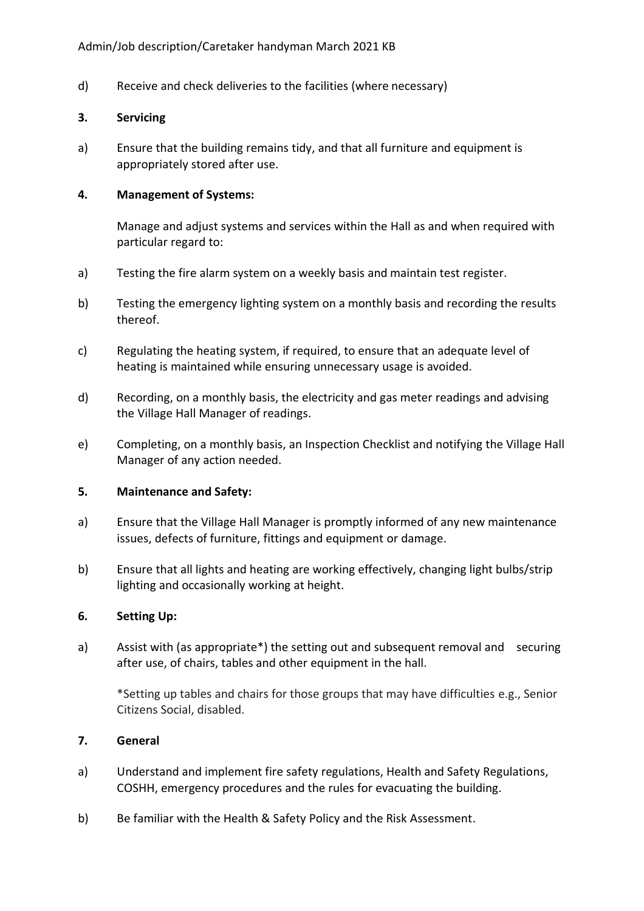d) Receive and check deliveries to the facilities (where necessary)

### **3. Servicing**

a) Ensure that the building remains tidy, and that all furniture and equipment is appropriately stored after use.

### **4. Management of Systems:**

Manage and adjust systems and services within the Hall as and when required with particular regard to:

- a) Testing the fire alarm system on a weekly basis and maintain test register.
- b) Testing the emergency lighting system on a monthly basis and recording the results thereof.
- c) Regulating the heating system, if required, to ensure that an adequate level of heating is maintained while ensuring unnecessary usage is avoided.
- d) Recording, on a monthly basis, the electricity and gas meter readings and advising the Village Hall Manager of readings.
- e) Completing, on a monthly basis, an Inspection Checklist and notifying the Village Hall Manager of any action needed.

# **5. Maintenance and Safety:**

- a) Ensure that the Village Hall Manager is promptly informed of any new maintenance issues, defects of furniture, fittings and equipment or damage.
- b) Ensure that all lights and heating are working effectively, changing light bulbs/strip lighting and occasionally working at height.

# **6. Setting Up:**

a) Assist with (as appropriate\*) the setting out and subsequent removal and securing after use, of chairs, tables and other equipment in the hall.

\*Setting up tables and chairs for those groups that may have difficulties e.g., Senior Citizens Social, disabled.

# **7. General**

- a) Understand and implement fire safety regulations, Health and Safety Regulations, COSHH, emergency procedures and the rules for evacuating the building.
- b) Be familiar with the Health & Safety Policy and the Risk Assessment.